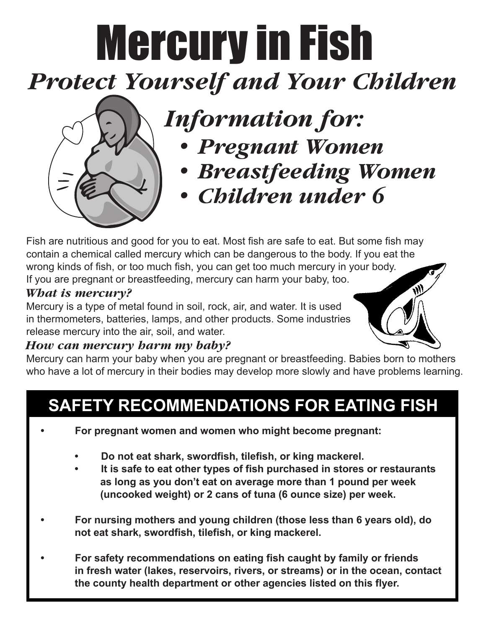# Mercury in Fish *Protect Yourself and Your Children*

## *Information for:*

- *• Pregnant Women*
- *• Breastfeeding Women*
- *• Children under 6*

Fish are nutritious and good for you to eat. Most fish are safe to eat. But some fish may contain a chemical called mercury which can be dangerous to the body. If you eat the wrong kinds of fish, or too much fish, you can get too much mercury in your body. If you are pregnant or breastfeeding, mercury can harm your baby, too.

#### *What is mercury?*

Mercury is a type of metal found in soil, rock, air, and water. It is used in thermometers, batteries, lamps, and other products. Some industries release mercury into the air, soil, and water.

#### *How can mercury harm my baby?*

Mercury can harm your baby when you are pregnant or breastfeeding. Babies born to mothers who have a lot of mercury in their bodies may develop more slowly and have problems learning.

### **SAFETY RECOMMENDATIONS FOR EATING FISH**

- **• For pregnant women and women who might become pregnant:**
	- **• Do not eat shark, swordfish, tilefish, or king mackerel.**
	- **• It is safe to eat other types of fish purchased in stores or restaurants as long as you don't eat on average more than 1 pound per week (uncooked weight) or 2 cans of tuna (6 ounce size) per week.**
- **• For nursing mothers and young children (those less than 6 years old), do not eat shark, swordfish, tilefish, or king mackerel.**
- **• For safety recommendations on eating fish caught by family or friends in fresh water (lakes, reservoirs, rivers, or streams) or in the ocean, contact the county health department or other agencies listed on this flyer.**